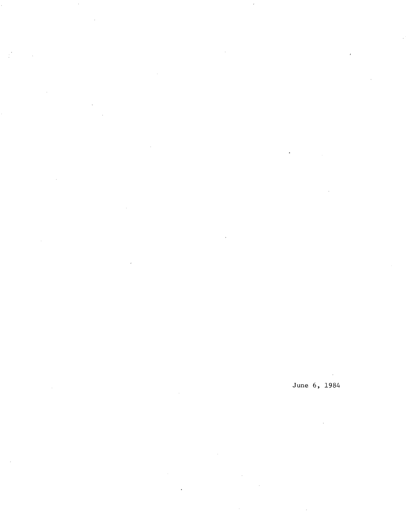June 6, 1984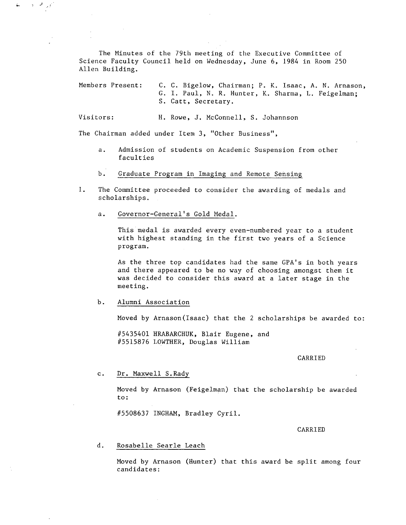The Minutes of the 79th meeting of the Executive Committee of Science Faculty Council held on Wednesday, June 6, 1984 in Room 250 Allen Building.

Members Present: C. C. Bigelow, Chairman; P. K. Isaac, A. N. Arnason, G. I. Paul, N. R. Hunter, K. Sharma, L. Feigelman; S. Catt, Secretary.

Visitors: H. Rowe, J. McConnell, S. Johannson

The Chairman added under Item 3, "Other Business",

- Admission of students on Academic Suspension from other a. faculties
- $b.$ Graduate Program in Imaging and Remote Sensing
- 1. The Committee proceeded to consider the awarding of medals and scholarships.
	- a. Governor-General's Gold Medal.

This medal is awarded every even-numbered year to a student with highest standing in the first two years of a Science program.

As the three top candidates had the same GPA's in both years and there appeared to be no way of choosing amongst them it was decided to consider this award at a later stage in the meeting.

 $b.$ Alumni Association

 $\sigma_{\rm c} = 1$  $\overline{u}$  .

Moved by Arnason(Isaac) that the 2 scholarships be awarded to:

#5435401 HRABARCHUK, Blair Eugene, and #5515876 LOWTHER, Douglas William

## CARRIED

C. Dr. Maxwell S.Rady

Moved by Arnason (Feigelman) that the scholarship be awarded to:

#5508637 INGHAM, Bradley Cyril.

CARRIED

## d. Rosabelle Searle Leach

Moved by Arnason (Hunter) that this award be split among four candidates: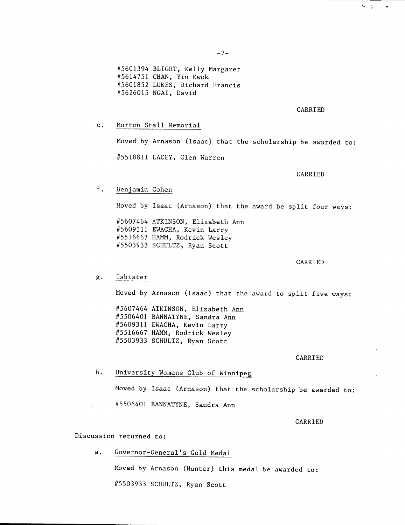$-2-$ 

#5601394 BLIGHT, Kelly Margaret #5614751 CHAN, Yiu Kwok #5601852 LUKES, Richard Francis #5626015 NGAI, David

## CARRIED

 $\sim$   $-7$ 

e. Morton Stall Memorial

> Moved by Arnason (Isaac) that the scholarship be awarded to: #5518811 LACEY, Glen Warren

> > CARRIED

#### $f.$ Benjamin Cohen

Moved by Isaac (Arnason) that the award be split four ways:

#5607464 ATKINSON, Elizabeth Ann #5609311 EWACHA, Kevin Larry #5516667 HANN, Rodrick Wesley #5503933 SCHULTZ, Ryan Scott

## CARRIED

#### $g$ . Isbister

Moved by Arnason (Isaac) that the award to split five ways:

#5607464 ATKINSON, Elizabeth Ann #5506401 BANNATYNE, Sandra Ann #5609311 EWACHA, Kevin Larry #5516667 HAMM, Rodrick Wesley #5503933 SCHULTZ, Ryan Scott

### CARRIED

 $h<sub>1</sub>$ University Womens Club of Winnipeg

> Moved by Isaac (Arnason) that the scholarship be awarded to: #5506401 BANNATYNE, Sandra Ann

## CARRIED

Discussion returned to:

a. Governor-General's Gold Medal

Moved by Arnason (Hunter) this medal be awarded to:

#5503933 SCHULTZ, Ryan Scott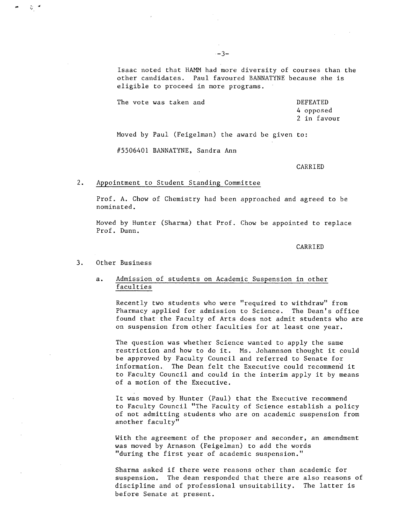Isaac noted that HAMM had more diversity of courses than the other candidates. Paul favoured BANNATYNE because she is eligible to proceed in more programs.

The vote was taken and DEFEATED 4 opposed 2 in favour

Moved by Paul (Feigelman) the award be given to:

#5506401 BANNATYNE, Sandra Ann

CARRI ED

#### $2.$ Appointment to Student Standing Committee

Prof. A. Chow of Chemistry had been approached and agreed to be nominated.

Moved by Hunter (Sharma) that Prof. Chow be appointed to replace Prof. Dunn.

CARRIED

#### Other Business  $3<sub>1</sub>$

ଟ୍ର

# a. Admission of students on Academic Suspension in other faculties

Recently two students who were "required to withdraw" from Pharmacy applied for admission to Science. The Dean's office found that the Faculty of Arts does not admit students who are on suspension from other faculties for at least one year.

The question was whether Science wanted to apply the same restriction and how to do it. Ms. Johannson thought it could be approved by Faculty Council and referred to Senate for information. The Dean felt the Executive could recommend it to Faculty Council and could in the interim apply it by means of a motion of the Executive.

It was moved by. Hunter (Paul) that the Executive recommend to Faculty Council "The Faculty of Science establish a policy of not admitting students who are on academic suspension from another faculty"

With the agreement of the proposer and seconder, an amendment was moved by Arnason (Feigelman) to add the words "during the first year of academic suspension."

Sharma asked if there were reasons other than academic for suspension. The dean responded that there are also reasons of discipline and of professional unsuitability. The latter is before Senate at present.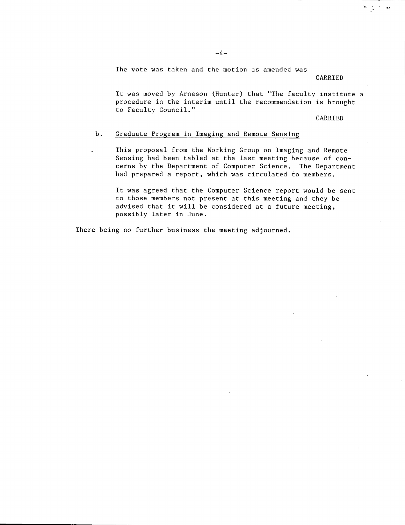CARRIED

بمائي الأراد

It was moved by Arnason (Hunter) that "The faculty institute a procedure in the interim until the recommendation is brought to Faculty Council."

CARRIED

# b. Graduate Program in Imaging and Remote Sensing

This proposal from the Working Group on Imaging and Remote Sensing had been tabled at the last meeting because of concerns by the Department of Computer Science. The Department had prepared a report, which was circulated to members.

It was agreed that the Computer Science report would be sent to those members not present at this meeting and they be advised that it will be considered at a future meeting, possibly later in June.

There being no further business the meeting adjourned.